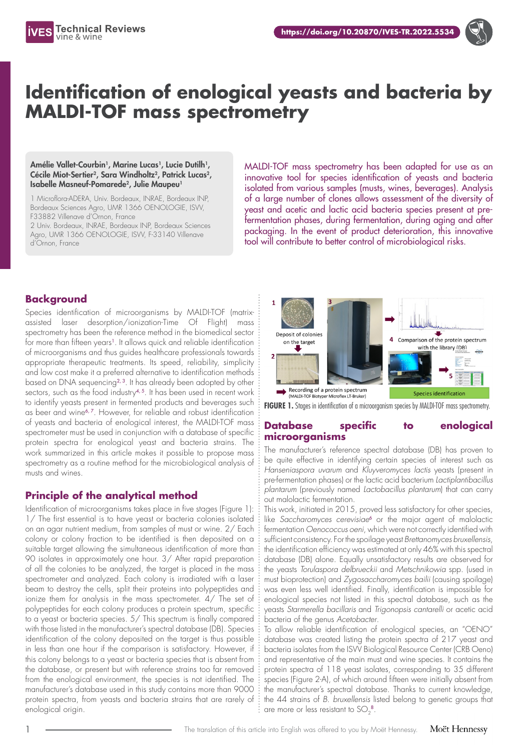

# **Identification of enological yeasts and bacteria by MALDI-TOF mass spectrometry**

Amélie Vallet-Courbin<sup>1</sup>, Marine Lucas<sup>1</sup>, Lucie Dutilh<sup>1</sup>, Cécile Miot-Sertier<sup>2</sup>, Sara Windholtz<sup>2</sup>, Patrick Lucas<sup>2</sup>, Isabelle Masneuf-Pomarede<sup>2</sup>, Julie Maupeu<sup>1</sup>

1 Microflora-ADERA, Univ. Bordeaux, INRAE, Bordeaux INP, Bordeaux Sciences Agro, UMR 1366 OENOLOGIE, ISVV, F33882 Villenave d'Ornon, France

2 Univ. Bordeaux, INRAE, Bordeaux INP, Bordeaux Sciences Agro, UMR 1366 OENOLOGIE, ISVV, F-33140 Villenave d'Ornon, France

MALDI-TOF mass spectrometry has been adapted for use as an innovative tool for species identification of yeasts and bacteria isolated from various samples (musts, wines, beverages). Analysis of a large number of clones allows assessment of the diversity of yeast and acetic and lactic acid bacteria species present at prefermentation phases, during fermentation, during aging and after packaging. In the event of product deterioration, this innovative tool will contribute to better control of microbiological risks.

# **Background**

Species identification of microorganisms by MALDI-TOF (matrixassisted laser desorption/ionization-Time Of Flight) mass spectrometry has been the reference method in the biomedical sector for more than fifteen years<sup>1</sup>. It allows quick and reliable identification of microorganisms and thus guides healthcare professionals towards appropriate therapeutic treatments. Its speed, reliability, simplicity and low cost make it a preferred alternative to identification methods based on DNA sequencing<sup>2, 3</sup>. It has already been adopted by other sectors, such as the food industry<sup>4, 5</sup>. It has been used in recent work to identify yeasts present in fermented products and beverages such as beer and wine<sup>6,7</sup>. However, for reliable and robust identification of yeasts and bacteria of enological interest, the MALDI-TOF mass spectrometer must be used in conjunction with a database of specific protein spectra for enological yeast and bacteria strains. The work summarized in this article makes it possible to propose mass spectrometry as a routine method for the microbiological analysis of musts and wines.

## **Principle of the analytical method**

Identification of microorganisms takes place in five stages (Figure 1): 1/ The first essential is to have yeast or bacteria colonies isolated on an agar nutrient medium, from samples of must or wine. 2/ Each colony or colony fraction to be identified is then deposited on a suitable target allowing the simultaneous identification of more than 90 isolates in approximately one hour. 3/ After rapid preparation of all the colonies to be analyzed, the target is placed in the mass spectrometer and analyzed. Each colony is irradiated with a laser beam to destroy the cells, split their proteins into polypeptides and ionize them for analysis in the mass spectrometer. 4/ The set of polypeptides for each colony produces a protein spectrum, specific to a yeast or bacteria species. 5/ This spectrum is finally compared with those listed in the manufacturer's spectral database (DB). Species identification of the colony deposited on the target is thus possible in less than one hour if the comparison is satisfactory. However, if this colony belongs to a yeast or bacteria species that is absent from the database, or present but with reference strains too far removed from the enological environment, the species is not identified. The manufacturer's database used in this study contains more than 9000 protein spectra, from yeasts and bacteria strains that are rarely of enological origin.



**FIGURE 1.** Stages in identification of a microorganism species by MALDI-TOF mass spectrometry.

#### **Database specific to enological microorganisms**

The manufacturer's reference spectral database (DB) has proven to be quite effective in identifying certain species of interest such as *Hanseniaspora uvarum* and *Kluyveromyces lactis* yeasts (present in pre-fermentation phases) or the lactic acid bacterium *Lactiplantibacillus plantarum* (previously named *Lactobacillus plantarum*) that can carry out malolactic fermentation.

This work, initiated in 2015, proved less satisfactory for other species, like *Saccharomyces cerevisiae*<sup>6</sup> or the major agent of malolactic fermentation *Oenococcus oeni*, which were not correctly identified with sufficient consistency. For the spoilage yeast *Brettanomyces bruxellensis*, the identification efficiency was estimated at only 46% with this spectral database (DB) alone. Equally unsatisfactory results are observed for the yeasts *Torulaspora delbrueckii* and *Metschnikowia* spp. (used in must bioprotection) and *Zygosaccharomyces bailii* (causing spoilage) was even less well identified. Finally, identification is impossible for enological species not listed in this spectral database, such as the yeasts *Starmerella bacillaris* and *Trigonopsis cantarelli* or acetic acid bacteria of the genus *Acetobacter*.

To allow reliable identification of enological species, an "OENO" database was created listing the protein spectra of 217 yeast and bacteria isolates from the ISVV Biological Resource Center (CRB Oeno) and representative of the main must and wine species. It contains the protein spectra of 118 yeast isolates, corresponding to 35 different species (Figure 2-A), of which around fifteen were initially absent from the manufacturer's spectral database. Thanks to current knowledge, the 44 strains of *B. bruxellensis* listed belong to genetic groups that are more or less resistant to SO $_2^{\,8}$ .